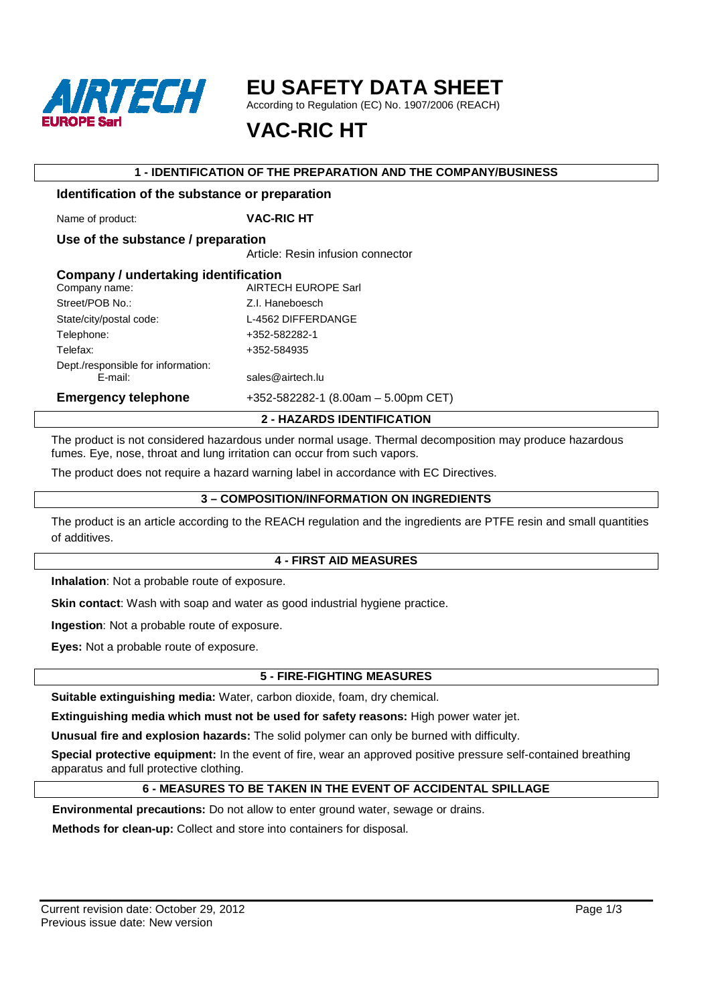

# **EU SAFETY DATA SHEET**

According to Regulation (EC) No. 1907/2006 (REACH)

# **VAC-RIC HT**

### **1 - IDENTIFICATION OF THE PREPARATION AND THE COMPANY/BUSINESS**

## **Identification of the substance or preparation**

Name of product: **VAC-RIC HT** 

**Use of the substance / preparation**  Article: Resin infusion connector

| Company / undertaking identification |                                       |
|--------------------------------------|---------------------------------------|
| Company name:                        | <b>AIRTECH EUROPE Sarl</b>            |
| Street/POB No.:                      | Z.I. Haneboesch                       |
| State/city/postal code:              | L-4562 DIFFERDANGE                    |
| Telephone:                           | +352-582282-1                         |
| Telefax:                             | +352-584935                           |
| Dept./responsible for information:   |                                       |
| E-mail:                              | sales@airtech.lu                      |
| <b>Emergency telephone</b>           | $+352-582282-1$ (8.00am - 5.00pm CET) |
|                                      | <b>2 - HAZARDS IDENTIFICATION</b>     |

The product is not considered hazardous under normal usage. Thermal decomposition may produce hazardous fumes. Eye, nose, throat and lung irritation can occur from such vapors.

The product does not require a hazard warning label in accordance with EC Directives.

#### **3 – COMPOSITION/INFORMATION ON INGREDIENTS**

The product is an article according to the REACH regulation and the ingredients are PTFE resin and small quantities of additives.

#### **4 - FIRST AID MEASURES**

**Inhalation**: Not a probable route of exposure.

**Skin contact:** Wash with soap and water as good industrial hygiene practice.

**Ingestion**: Not a probable route of exposure.

**Eyes:** Not a probable route of exposure.

## **5 - FIRE-FIGHTING MEASURES**

**Suitable extinguishing media:** Water, carbon dioxide, foam, dry chemical.

**Extinguishing media which must not be used for safety reasons:** High power water jet.

**Unusual fire and explosion hazards:** The solid polymer can only be burned with difficulty.

**Special protective equipment:** In the event of fire, wear an approved positive pressure self-contained breathing apparatus and full protective clothing.

## **6 - MEASURES TO BE TAKEN IN THE EVENT OF ACCIDENTAL SPILLAGE**

**Environmental precautions:** Do not allow to enter ground water, sewage or drains.

**Methods for clean-up:** Collect and store into containers for disposal.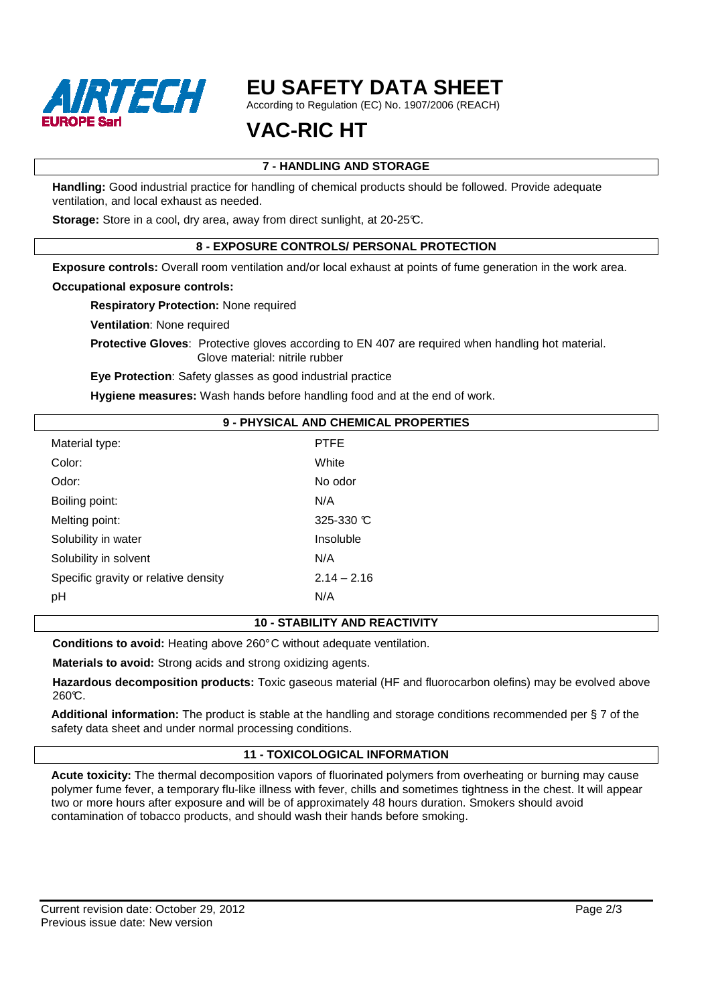

# **EU SAFETY DATA SHEET**

According to Regulation (EC) No. 1907/2006 (REACH)

# **VAC-RIC HT**

# **7 - HANDLING AND STORAGE**

**Handling:** Good industrial practice for handling of chemical products should be followed. Provide adequate ventilation, and local exhaust as needed.

**Storage:** Store in a cool, dry area, away from direct sunlight, at 20-25°C.

# **8 - EXPOSURE CONTROLS/ PERSONAL PROTECTION**

**Exposure controls:** Overall room ventilation and/or local exhaust at points of fume generation in the work area.

#### **Occupational exposure controls:**

**Respiratory Protection:** None required

**Ventilation**: None required

**Protective Gloves**: Protective gloves according to EN 407 are required when handling hot material. Glove material: nitrile rubber

**Eye Protection**: Safety glasses as good industrial practice

**Hygiene measures:** Wash hands before handling food and at the end of work.

#### **9 - PHYSICAL AND CHEMICAL PROPERTIES**

| Material type:                       | PTFE                 |
|--------------------------------------|----------------------|
| Color:                               | White                |
| Odor:                                | No odor              |
| Boiling point:                       | N/A                  |
| Melting point:                       | 325-330 $\mathbb{C}$ |
| Solubility in water                  | Insoluble            |
| Solubility in solvent                | N/A                  |
| Specific gravity or relative density | $2.14 - 2.16$        |
| рH                                   | N/A                  |

#### **10 - STABILITY AND REACTIVITY**

**Conditions to avoid:** Heating above 260° C without adequate ventilation.

**Materials to avoid:** Strong acids and strong oxidizing agents.

**Hazardous decomposition products:** Toxic gaseous material (HF and fluorocarbon olefins) may be evolved above 260℃.

**Additional information:** The product is stable at the handling and storage conditions recommended per § 7 of the safety data sheet and under normal processing conditions.

## **11 - TOXICOLOGICAL INFORMATION**

**Acute toxicity:** The thermal decomposition vapors of fluorinated polymers from overheating or burning may cause polymer fume fever, a temporary flu-like illness with fever, chills and sometimes tightness in the chest. It will appear two or more hours after exposure and will be of approximately 48 hours duration. Smokers should avoid contamination of tobacco products, and should wash their hands before smoking.